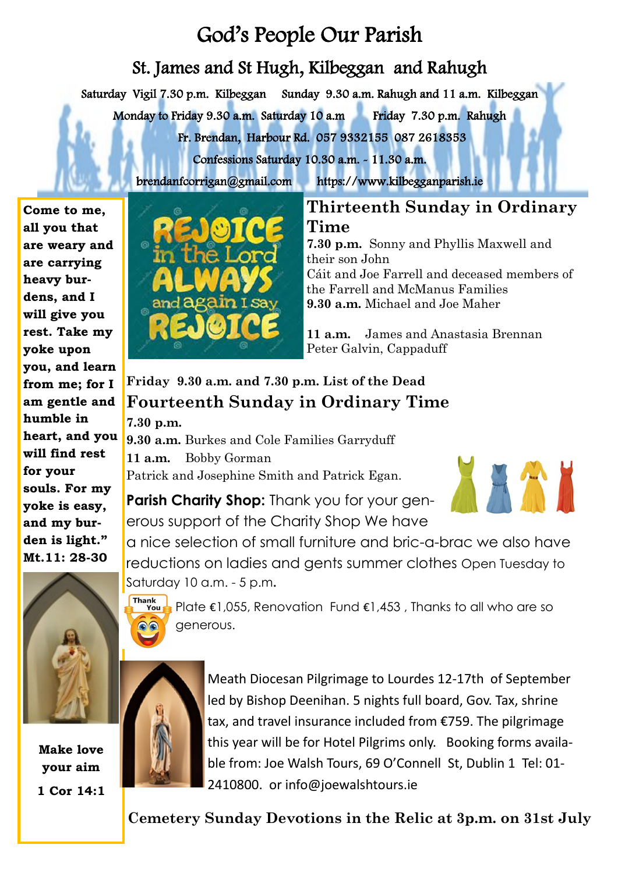# God's People Our Parish

## St. James and St Hugh, Kilbeggan and Rahugh

Saturday Vigil 7.30 p.m. Kilbeggan Sunday 9.30 a.m. Rahugh and 11 a.m. Kilbeggan

Monday to Friday 9.30 a.m. Saturday 10 a.m Friday 7.30 p.m. Rahugh

Fr. Brendan, Harbour Rd. 057 9332155 087 2618353

Confessions Saturday 10.30 a.m. - 11.30 a.m.

brendanfcorrigan@gmail.com https://www.kilbegganparish.ie

**Come to me, all you that are weary and are carrying heavy burdens, and I will give you rest. Take my yoke upon you, and learn from me; for I am gentle and humble in heart, and you will find rest for your souls. For my yoke is easy, and my burden is light." Mt.11: 28-30**



## **Thirteenth Sunday in Ordinary Time**

**7.30 p.m.** Sonny and Phyllis Maxwell and their son John Cáit and Joe Farrell and deceased members of the Farrell and McManus Families **9.30 a.m.** Michael and Joe Maher

**11 a.m.** James and Anastasia Brennan Peter Galvin, Cappaduff

## **Friday 9.30 a.m. and 7.30 p.m. List of the Dead Fourteenth Sunday in Ordinary Time**

**7.30 p.m.** 

**9.30 a.m.** Burkes and Cole Families Garryduff **11 a.m.** Bobby Gorman Patrick and Josephine Smith and Patrick Egan. 



**Parish Charity Shop:** Thank you for your generous support of the Charity Shop We have

a nice selection of small furniture and bric-a-brac we also have reductions on ladies and gents summer clothes Open Tuesday to Saturday 10 a.m. - 5 p.m**.** 

Thank<br>**You** Plate €1,055, Renovation Fund €1,453 , Thanks to all who are so generous.



**Make love your aim 1 Cor 14:1**

Meath Diocesan Pilgrimage to Lourdes 12-17th of September led by Bishop Deenihan. 5 nights full board, Gov. Tax, shrine tax, and travel insurance included from €759. The pilgrimage this year will be for Hotel Pilgrims only. Booking forms available from: Joe Walsh Tours, 69 O'Connell St, Dublin 1 Tel: 01- 2410800. or info@joewalshtours.ie

**Cemetery Sunday Devotions in the Relic at 3p.m. on 31st July**